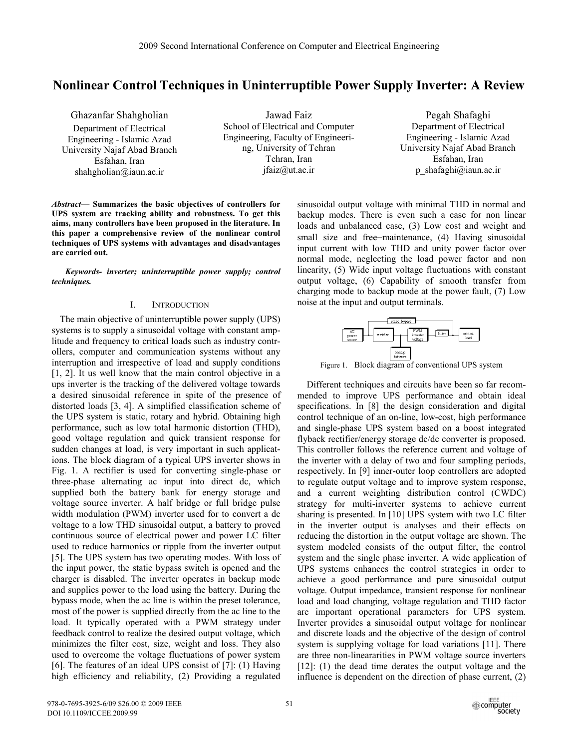# **Nonlinear Control Techniques in Uninterruptible Power Supply Inverter: A Review**

Ghazanfar Shahgholian Department of Electrical Engineering - Islamic Azad University Najaf Abad Branch Esfahan, Iran shahgholian@iaun.ac.ir

Jawad Faiz School of Electrical and Computer Engineering, Faculty of Engineering, University of Tehran Tehran, Iran jfaiz@ut.ac.ir

Pegah Shafaghi Department of Electrical Engineering - Islamic Azad University Najaf Abad Branch Esfahan, Iran p\_shafaghi@iaun.ac.ir

*Abstract***— Summarizes the basic objectives of controllers for UPS system are tracking ability and robustness. To get this aims, many controllers have been proposed in the literature. In this paper a comprehensive review of the nonlinear control techniques of UPS systems with advantages and disadvantages are carried out.** 

*Keywords- inverter; uninterruptible power supply; control techniques.* 

## I. INTRODUCTION

The main objective of uninterruptible power supply (UPS) systems is to supply a sinusoidal voltage with constant amplitude and frequency to critical loads such as industry controllers, computer and communication systems without any interruption and irrespective of load and supply conditions [1, 2]. It us well know that the main control objective in a ups inverter is the tracking of the delivered voltage towards a desired sinusoidal reference in spite of the presence of distorted loads [3, 4]. A simplified classification scheme of the UPS system is static, rotary and hybrid. Obtaining high performance, such as low total harmonic distortion (THD), good voltage regulation and quick transient response for sudden changes at load, is very important in such applications. The block diagram of a typical UPS inverter shows in Fig. 1. A rectifier is used for converting single-phase or three-phase alternating ac input into direct dc, which supplied both the battery bank for energy storage and voltage source inverter. A half bridge or full bridge pulse width modulation (PWM) inverter used for to convert a dc voltage to a low THD sinusoidal output, a battery to proved continuous source of electrical power and power LC filter used to reduce harmonics or ripple from the inverter output [5]. The UPS system has two operating modes. With loss of the input power, the static bypass switch is opened and the charger is disabled. The inverter operates in backup mode and supplies power to the load using the battery. During the bypass mode, when the ac line is within the preset tolerance, most of the power is supplied directly from the ac line to the load. It typically operated with a PWM strategy under feedback control to realize the desired output voltage, which minimizes the filter cost, size, weight and loss. They also used to overcome the voltage fluctuations of power system [6]. The features of an ideal UPS consist of [7]: (1) Having high efficiency and reliability, (2) Providing a regulated

sinusoidal output voltage with minimal THD in normal and backup modes. There is even such a case for non linear loads and unbalanced case, (3) Low cost and weight and small size and free–maintenance, (4) Having sinusoidal input current with low THD and unity power factor over normal mode, neglecting the load power factor and non linearity, (5) Wide input voltage fluctuations with constant output voltage, (6) Capability of smooth transfer from charging mode to backup mode at the power fault, (7) Low noise at the input and output terminals.



Figure 1. Block diagram of conventional UPS system

Different techniques and circuits have been so far recommended to improve UPS performance and obtain ideal specifications. In [8] the design consideration and digital control technique of an on-line, low-cost, high performance and single-phase UPS system based on a boost integrated flyback rectifier/energy storage dc/dc converter is proposed. This controller follows the reference current and voltage of the inverter with a delay of two and four sampling periods, respectively. In [9] inner-outer loop controllers are adopted to regulate output voltage and to improve system response, and a current weighting distribution control (CWDC) strategy for multi-inverter systems to achieve current sharing is presented. In [10] UPS system with two LC filter in the inverter output is analyses and their effects on reducing the distortion in the output voltage are shown. The system modeled consists of the output filter, the control system and the single phase inverter. A wide application of UPS systems enhances the control strategies in order to achieve a good performance and pure sinusoidal output voltage. Output impedance, transient response for nonlinear load and load changing, voltage regulation and THD factor are important operational parameters for UPS system. Inverter provides a sinusoidal output voltage for nonlinear and discrete loads and the objective of the design of control system is supplying voltage for load variations [11]. There are three non-lineararities in PWM voltage source inverters [12]: (1) the dead time derates the output voltage and the influence is dependent on the direction of phase current, (2)

978-0-7695-3925-6/09 \$26.00 © 2009 IEEE DOI 10.1109/ICCEE.2009.99

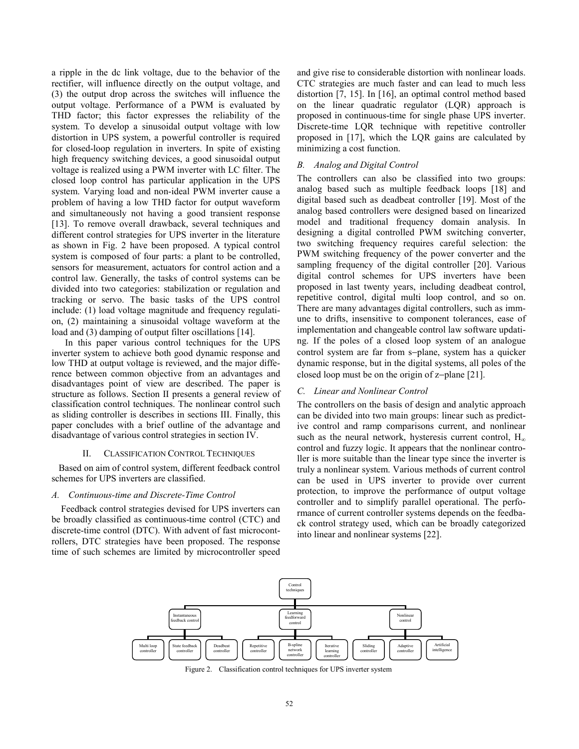a ripple in the dc link voltage, due to the behavior of the rectifier, will influence directly on the output voltage, and (3) the output drop across the switches will influence the output voltage. Performance of a PWM is evaluated by THD factor; this factor expresses the reliability of the system. To develop a sinusoidal output voltage with low distortion in UPS system, a powerful controller is required for closed-loop regulation in inverters. In spite of existing high frequency switching devices, a good sinusoidal output voltage is realized using a PWM inverter with LC filter. The closed loop control has particular application in the UPS system. Varying load and non-ideal PWM inverter cause a problem of having a low THD factor for output waveform and simultaneously not having a good transient response [13]. To remove overall drawback, several techniques and different control strategies for UPS inverter in the literature as shown in Fig. 2 have been proposed. A typical control system is composed of four parts: a plant to be controlled, sensors for measurement, actuators for control action and a control law. Generally, the tasks of control systems can be divided into two categories: stabilization or regulation and tracking or servo. The basic tasks of the UPS control include: (1) load voltage magnitude and frequency regulation, (2) maintaining a sinusoidal voltage waveform at the load and (3) damping of output filter oscillations [14].

In this paper various control techniques for the UPS inverter system to achieve both good dynamic response and low THD at output voltage is reviewed, and the major difference between common objective from an advantages and disadvantages point of view are described. The paper is structure as follows. Section II presents a general review of classification control techniques. The nonlinear control such as sliding controller is describes in sections III. Finally, this paper concludes with a brief outline of the advantage and disadvantage of various control strategies in section IV.

## II. CLASSIFICATION CONTROL TECHNIQUES

 Based on aim of control system, different feedback control schemes for UPS inverters are classified.

## *A. Continuous-time and Discrete-Time Control*

Feedback control strategies devised for UPS inverters can be broadly classified as continuous-time control (CTC) and discrete-time control (DTC). With advent of fast microcontrollers, DTC strategies have been proposed. The response time of such schemes are limited by microcontroller speed

and give rise to considerable distortion with nonlinear loads. CTC strategies are much faster and can lead to much less distortion [7, 15]. In [16], an optimal control method based on the linear quadratic regulator (LQR) approach is proposed in continuous-time for single phase UPS inverter. Discrete-time LQR technique with repetitive controller proposed in [17], which the LQR gains are calculated by minimizing a cost function.

# *B. Analog and Digital Control*

The controllers can also be classified into two groups: analog based such as multiple feedback loops [18] and digital based such as deadbeat controller [19]. Most of the analog based controllers were designed based on linearized model and traditional frequency domain analysis. In designing a digital controlled PWM switching converter, two switching frequency requires careful selection: the PWM switching frequency of the power converter and the sampling frequency of the digital controller [20]. Various digital control schemes for UPS inverters have been proposed in last twenty years, including deadbeat control, repetitive control, digital multi loop control, and so on. There are many advantages digital controllers, such as immune to drifts, insensitive to component tolerances, ease of implementation and changeable control law software updating. If the poles of a closed loop system of an analogue control system are far from s−plane, system has a quicker dynamic response, but in the digital systems, all poles of the closed loop must be on the origin of z−plane [21].

## *C. Linear and Nonlinear Control*

The controllers on the basis of design and analytic approach can be divided into two main groups: linear such as predictive control and ramp comparisons current, and nonlinear such as the neural network, hysteresis current control,  $H_{\infty}$ control and fuzzy logic. It appears that the nonlinear controller is more suitable than the linear type since the inverter is truly a nonlinear system. Various methods of current control can be used in UPS inverter to provide over current protection, to improve the performance of output voltage controller and to simplify parallel operational. The performance of current controller systems depends on the feedback control strategy used, which can be broadly categorized into linear and nonlinear systems [22].



Figure 2. Classification control techniques for UPS inverter system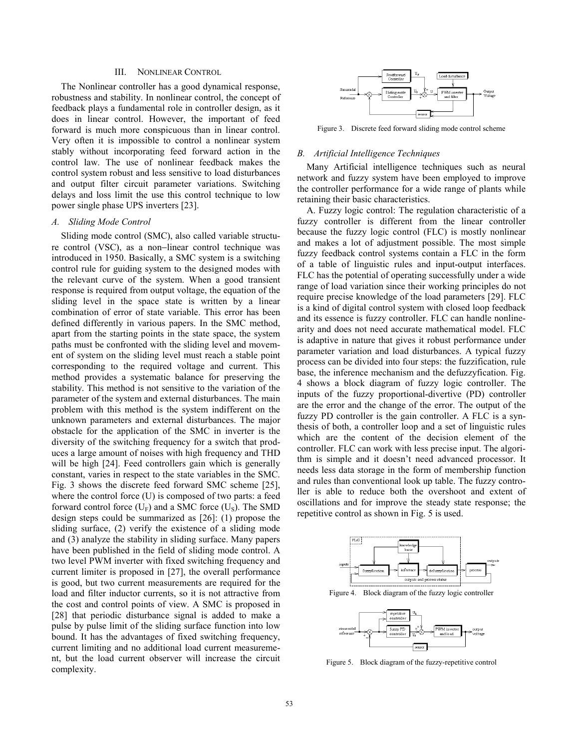## III. NONLINEAR CONTROL

The Nonlinear controller has a good dynamical response, robustness and stability. In nonlinear control, the concept of feedback plays a fundamental role in controller design, as it does in linear control. However, the important of feed forward is much more conspicuous than in linear control. Very often it is impossible to control a nonlinear system stably without incorporating feed forward action in the control law. The use of nonlinear feedback makes the control system robust and less sensitive to load disturbances and output filter circuit parameter variations. Switching delays and loss limit the use this control technique to low power single phase UPS inverters [23].

#### *A. Sliding Mode Control*

Sliding mode control (SMC), also called variable structure control (VSC), as a non−linear control technique was introduced in 1950. Basically, a SMC system is a switching control rule for guiding system to the designed modes with the relevant curve of the system. When a good transient response is required from output voltage, the equation of the sliding level in the space state is written by a linear combination of error of state variable. This error has been defined differently in various papers. In the SMC method, apart from the starting points in the state space, the system paths must be confronted with the sliding level and movement of system on the sliding level must reach a stable point corresponding to the required voltage and current. This method provides a systematic balance for preserving the stability. This method is not sensitive to the variation of the parameter of the system and external disturbances. The main problem with this method is the system indifferent on the unknown parameters and external disturbances. The major obstacle for the application of the SMC in inverter is the diversity of the switching frequency for a switch that produces a large amount of noises with high frequency and THD will be high [24]. Feed controllers gain which is generally constant, varies in respect to the state variables in the SMC. Fig. 3 shows the discrete feed forward SMC scheme [25], where the control force (U) is composed of two parts: a feed forward control force  $(U_F)$  and a SMC force  $(U_S)$ . The SMD design steps could be summarized as [26]: (1) propose the sliding surface, (2) verify the existence of a sliding mode and (3) analyze the stability in sliding surface. Many papers have been published in the field of sliding mode control. A two level PWM inverter with fixed switching frequency and current limiter is proposed in [27], the overall performance is good, but two current measurements are required for the load and filter inductor currents, so it is not attractive from the cost and control points of view. A SMC is proposed in [28] that periodic disturbance signal is added to make a pulse by pulse limit of the sliding surface function into low bound. It has the advantages of fixed switching frequency, current limiting and no additional load current measurement, but the load current observer will increase the circuit complexity.



Figure 3. Discrete feed forward sliding mode control scheme

## *B. Artificial Intelligence Techniques*

Many Artificial intelligence techniques such as neural network and fuzzy system have been employed to improve the controller performance for a wide range of plants while retaining their basic characteristics.

A. Fuzzy logic control: The regulation characteristic of a fuzzy controller is different from the linear controller because the fuzzy logic control (FLC) is mostly nonlinear and makes a lot of adjustment possible. The most simple fuzzy feedback control systems contain a FLC in the form of a table of linguistic rules and input-output interfaces. FLC has the potential of operating successfully under a wide range of load variation since their working principles do not require precise knowledge of the load parameters [29]. FLC is a kind of digital control system with closed loop feedback and its essence is fuzzy controller. FLC can handle nonlinearity and does not need accurate mathematical model. FLC is adaptive in nature that gives it robust performance under parameter variation and load disturbances. A typical fuzzy process can be divided into four steps: the fuzzification, rule base, the inference mechanism and the defuzzyfication. Fig. 4 shows a block diagram of fuzzy logic controller. The inputs of the fuzzy proportional-divertive (PD) controller are the error and the change of the error. The output of the fuzzy PD controller is the gain controller. A FLC is a synthesis of both, a controller loop and a set of linguistic rules which are the content of the decision element of the controller. FLC can work with less precise input. The algorithm is simple and it doesn't need advanced processor. It needs less data storage in the form of membership function and rules than conventional look up table. The fuzzy controller is able to reduce both the overshoot and extent of oscillations and for improve the steady state response; the repetitive control as shown in Fig. 5 is used.



Figure 4. Block diagram of the fuzzy logic controller



Figure 5. Block diagram of the fuzzy-repetitive control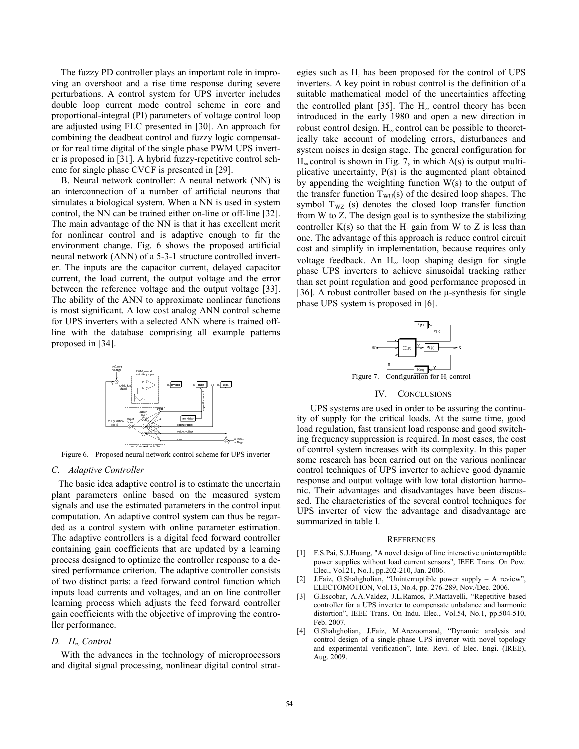The fuzzy PD controller plays an important role in improving an overshoot and a rise time response during severe perturbations. A control system for UPS inverter includes double loop current mode control scheme in core and proportional-integral (PI) parameters of voltage control loop are adjusted using FLC presented in [30]. An approach for combining the deadbeat control and fuzzy logic compensator for real time digital of the single phase PWM UPS inverter is proposed in [31]. A hybrid fuzzy-repetitive control scheme for single phase CVCF is presented in [29].

B. Neural network controller: A neural network (NN) is an interconnection of a number of artificial neurons that simulates a biological system. When a NN is used in system control, the NN can be trained either on-line or off-line [32]. The main advantage of the NN is that it has excellent merit for nonlinear control and is adaptive enough to fir the environment change. Fig. 6 shows the proposed artificial neural network (ANN) of a 5-3-1 structure controlled inverter. The inputs are the capacitor current, delayed capacitor current, the load current, the output voltage and the error between the reference voltage and the output voltage [33]. The ability of the ANN to approximate nonlinear functions is most significant. A low cost analog ANN control scheme for UPS inverters with a selected ANN where is trained offline with the database comprising all example patterns proposed in [34].



Figure 6. Proposed neural network control scheme for UPS inverter

#### *C. Adaptive Controller*

 The basic idea adaptive control is to estimate the uncertain plant parameters online based on the measured system signals and use the estimated parameters in the control input computation. An adaptive control system can thus be regarded as a control system with online parameter estimation. The adaptive controllers is a digital feed forward controller containing gain coefficients that are updated by a learning process designed to optimize the controller response to a desired performance criterion. The adaptive controller consists of two distinct parts: a feed forward control function which inputs load currents and voltages, and an on line controller learning process which adjusts the feed forward controller gain coefficients with the objective of improving the controller performance.

# *D. H∞ Control*

With the advances in the technology of microprocessors and digital signal processing, nonlinear digital control strategies such as H: has been proposed for the control of UPS inverters. A key point in robust control is the definition of a suitable mathematical model of the uncertainties affecting the controlled plant [35]. The  $H_{\infty}$  control theory has been introduced in the early 1980 and open a new direction in robust control design. H<sup>∞</sup> control can be possible to theoretically take account of modeling errors, disturbances and system noises in design stage. The general configuration for  $H_{\infty}$  control is shown in Fig. 7, in which  $\Delta(s)$  is output multiplicative uncertainty, P(s) is the augmented plant obtained by appending the weighting function W(s) to the output of the transfer function  $T_{\text{WI}}(s)$  of the desired loop shapes. The symbol  $T_{WZ}$  (s) denotes the closed loop transfer function from W to Z. The design goal is to synthesize the stabilizing controller  $K(s)$  so that the H: gain from W to Z is less than one. The advantage of this approach is reduce control circuit cost and simplify in implementation, because requires only voltage feedback. An H∞ loop shaping design for single phase UPS inverters to achieve sinusoidal tracking rather than set point regulation and good performance proposed in [36]. A robust controller based on the  $\mu$ -synthesis for single phase UPS system is proposed in [6].



## IV. CONCLUSIONS

UPS systems are used in order to be assuring the continuity of supply for the critical loads. At the same time, good load regulation, fast transient load response and good switching frequency suppression is required. In most cases, the cost of control system increases with its complexity. In this paper some research has been carried out on the various nonlinear control techniques of UPS inverter to achieve good dynamic response and output voltage with low total distortion harmonic. Their advantages and disadvantages have been discussed. The characteristics of the several control techniques for UPS inverter of view the advantage and disadvantage are summarized in table I.

#### **REFERENCES**

- [1] F.S.Pai, S.J.Huang, "A novel design of line interactive uninterruptible power supplies without load current sensors", IEEE Trans. On Pow. Elec., Vol.21, No.1, pp.202-210, Jan. 2006.
- [2] J.Faiz, G.Shahgholian, "Uninterruptible power supply A review", ELECTOMOTION, Vol.13, No.4, pp. 276-289, Nov./Dec. 2006.
- [3] G.Escobar, A.A.Valdez, J.L.Ramos, P.Mattavelli, "Repetitive based controller for a UPS inverter to compensate unbalance and harmonic distortion", IEEE Trans. On Indu. Elec., Vol.54, No.1, pp.504-510, Feb. 2007.
- [4] G.Shahgholian, J.Faiz, M.Arezoomand, "Dynamic analysis and control design of a single-phase UPS inverter with novel topology and experimental verification", Inte. Revi. of Elec. Engi. (IREE), Aug. 2009.